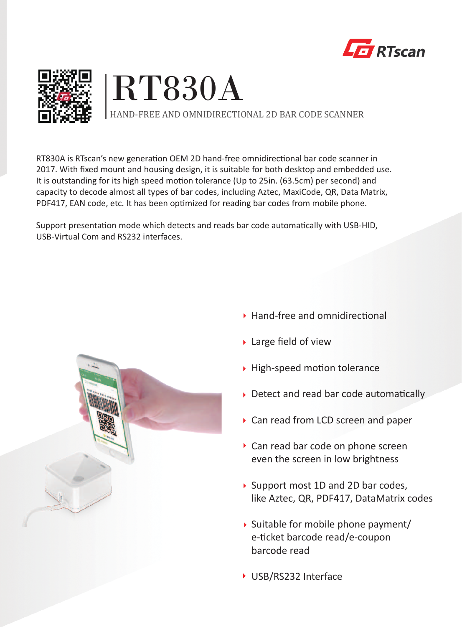





RT830A is RTscan's new generation OEM 2D hand-free omnidirectional bar code scanner in 2017. With fixed mount and housing design, it is suitable for both desktop and embedded use. It is outstanding for its high speed motion tolerance (Up to 25in. (63.5cm) per second) and capacity to decode almost all types of bar codes, including Aztec, MaxiCode, QR, Data Matrix, PDF417, EAN code, etc. It has been optimized for reading bar codes from mobile phone.

Support presentation mode which detects and reads bar code automatically with USB-HID, USB-Virtual Com and RS232 interfaces.



- $\rightarrow$  Hand-free and omnidirectional
- ▶ Large field of view
- $\rightarrow$  High-speed motion tolerance
- $\rightarrow$  Detect and read bar code automatically
- ▶ Can read from LCD screen and paper
- Can read bar code on phone screen even the screen in low brightness
- ▶ Support most 1D and 2D bar codes, like Aztec, QR, PDF417, DataMatrix codes
- $\rightarrow$  Suitable for mobile phone payment/ e-ticket barcode read/e-coupon barcode read
- ▶ USB/RS232 Interface